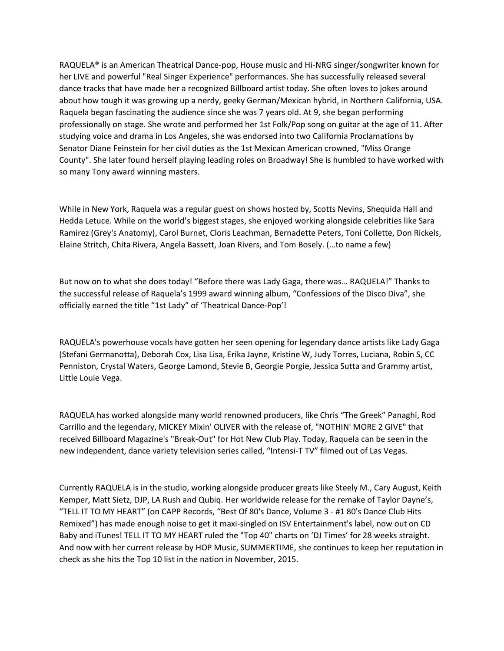RAQUELA® is an American Theatrical Dance-pop, House music and Hi-NRG singer/songwriter known for her LIVE and powerful "Real Singer Experience" performances. She has successfully released several dance tracks that have made her a recognized Billboard artist today. She often loves to jokes around about how tough it was growing up a nerdy, geeky German/Mexican hybrid, in Northern California, USA. Raquela began fascinating the audience since she was 7 years old. At 9, she began performing professionally on stage. She wrote and performed her 1st Folk/Pop song on guitar at the age of 11. After studying voice and drama in Los Angeles, she was endorsed into two California Proclamations by Senator Diane Feinstein for her civil duties as the 1st Mexican American crowned, "Miss Orange County". She later found herself playing leading roles on Broadway! She is humbled to have worked with so many Tony award winning masters.

While in New York, Raquela was a regular guest on shows hosted by, Scotts Nevins, Shequida Hall and Hedda Letuce. While on the world's biggest stages, she enjoyed working alongside celebrities like Sara Ramirez (Grey's Anatomy), Carol Burnet, Cloris Leachman, Bernadette Peters, Toni Collette, Don Rickels, Elaine Stritch, Chita Rivera, Angela Bassett, Joan Rivers, and Tom Bosely. (…to name a few)

But now on to what she does today! "Before there was Lady Gaga, there was… RAQUELA!" Thanks to the successful release of Raquela's 1999 award winning album, "Confessions of the Disco Diva", she officially earned the title "1st Lady" of 'Theatrical Dance-Pop'!

RAQUELA's powerhouse vocals have gotten her seen opening for legendary dance artists like Lady Gaga (Stefani Germanotta), Deborah Cox, Lisa Lisa, Erika Jayne, Kristine W, Judy Torres, Luciana, Robin S, CC Penniston, Crystal Waters, George Lamond, Stevie B, Georgie Porgie, Jessica Sutta and Grammy artist, Little Louie Vega.

RAQUELA has worked alongside many world renowned producers, like Chris "The Greek" Panaghi, Rod Carrillo and the legendary, MICKEY Mixin' OLIVER with the release of, "NOTHIN' MORE 2 GIVE" that received Billboard Magazine's "Break-Out" for Hot New Club Play. Today, Raquela can be seen in the new independent, dance variety television series called, "Intensi-T TV" filmed out of Las Vegas.

Currently RAQUELA is in the studio, working alongside producer greats like Steely M., Cary August, Keith Kemper, Matt Sietz, DJP, LA Rush and Qubiq. Her worldwide release for the remake of Taylor Dayne's, "TELL IT TO MY HEART" (on CAPP Records, "Best Of 80's Dance, Volume 3 - #1 80's Dance Club Hits Remixed") has made enough noise to get it maxi-singled on ISV Entertainment's label, now out on CD Baby and iTunes! TELL IT TO MY HEART ruled the "Top 40" charts on 'DJ Times' for 28 weeks straight. And now with her current release by HOP Music, SUMMERTIME, she continues to keep her reputation in check as she hits the Top 10 list in the nation in November, 2015.